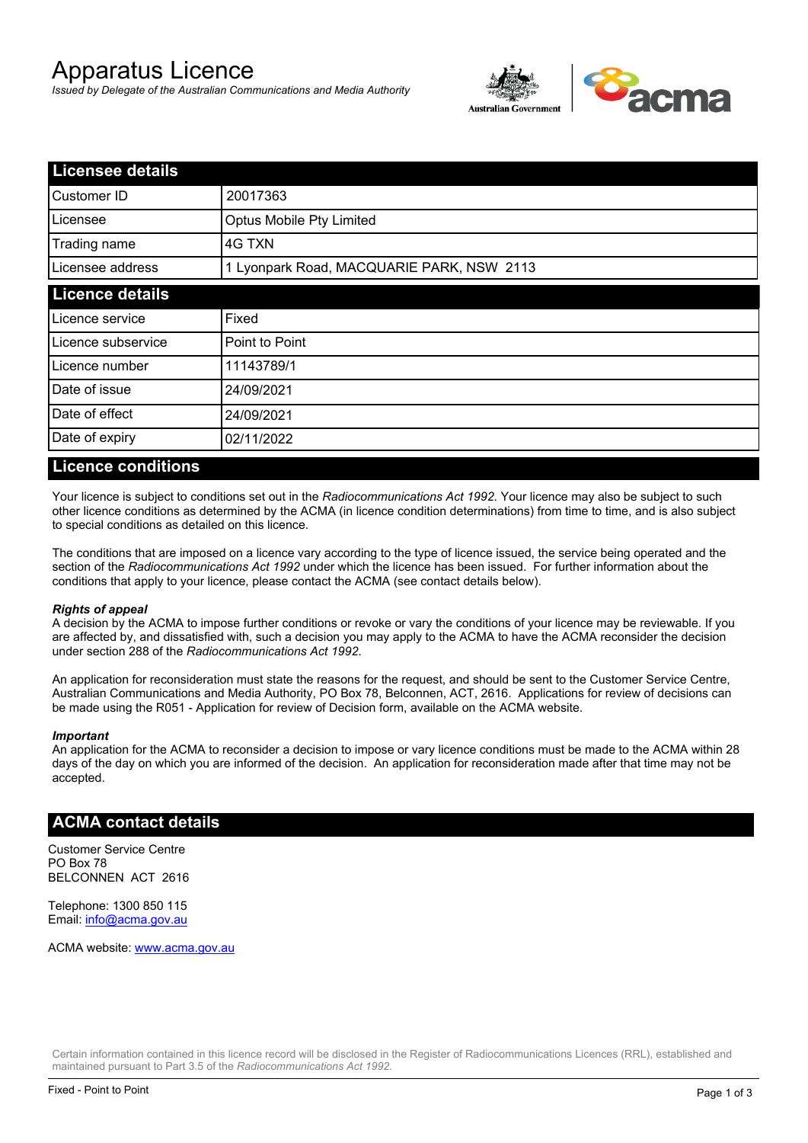# Apparatus Licence

*Issued by Delegate of the Australian Communications and Media Authority*



| <b>Licensee details</b> |                                           |  |
|-------------------------|-------------------------------------------|--|
| Customer ID             | 20017363                                  |  |
| Licensee                | Optus Mobile Pty Limited                  |  |
| Trading name            | 4G TXN                                    |  |
| Licensee address        | 1 Lyonpark Road, MACQUARIE PARK, NSW 2113 |  |
| <b>Licence details</b>  |                                           |  |
| Licence service         | Fixed                                     |  |
| Licence subservice      | Point to Point                            |  |
| Licence number          | 11143789/1                                |  |
| Date of issue           | 24/09/2021                                |  |
| Date of effect          | 24/09/2021                                |  |
| Date of expiry          | 02/11/2022                                |  |

#### **Licence conditions**

Your licence is subject to conditions set out in the *Radiocommunications Act 1992*. Your licence may also be subject to such other licence conditions as determined by the ACMA (in licence condition determinations) from time to time, and is also subject to special conditions as detailed on this licence.

The conditions that are imposed on a licence vary according to the type of licence issued, the service being operated and the section of the *Radiocommunications Act 1992* under which the licence has been issued. For further information about the conditions that apply to your licence, please contact the ACMA (see contact details below).

#### *Rights of appeal*

A decision by the ACMA to impose further conditions or revoke or vary the conditions of your licence may be reviewable. If you are affected by, and dissatisfied with, such a decision you may apply to the ACMA to have the ACMA reconsider the decision under section 288 of the *Radiocommunications Act 1992*.

An application for reconsideration must state the reasons for the request, and should be sent to the Customer Service Centre, Australian Communications and Media Authority, PO Box 78, Belconnen, ACT, 2616. Applications for review of decisions can be made using the R051 - Application for review of Decision form, available on the ACMA website.

#### *Important*

An application for the ACMA to reconsider a decision to impose or vary licence conditions must be made to the ACMA within 28 days of the day on which you are informed of the decision. An application for reconsideration made after that time may not be accepted.

### **ACMA contact details**

Customer Service Centre PO Box 78 BELCONNEN ACT 2616

Telephone: 1300 850 115 Email: info@acma.gov.au

ACMA website: www.acma.gov.au

Certain information contained in this licence record will be disclosed in the Register of Radiocommunications Licences (RRL), established and maintained pursuant to Part 3.5 of the *Radiocommunications Act 1992.*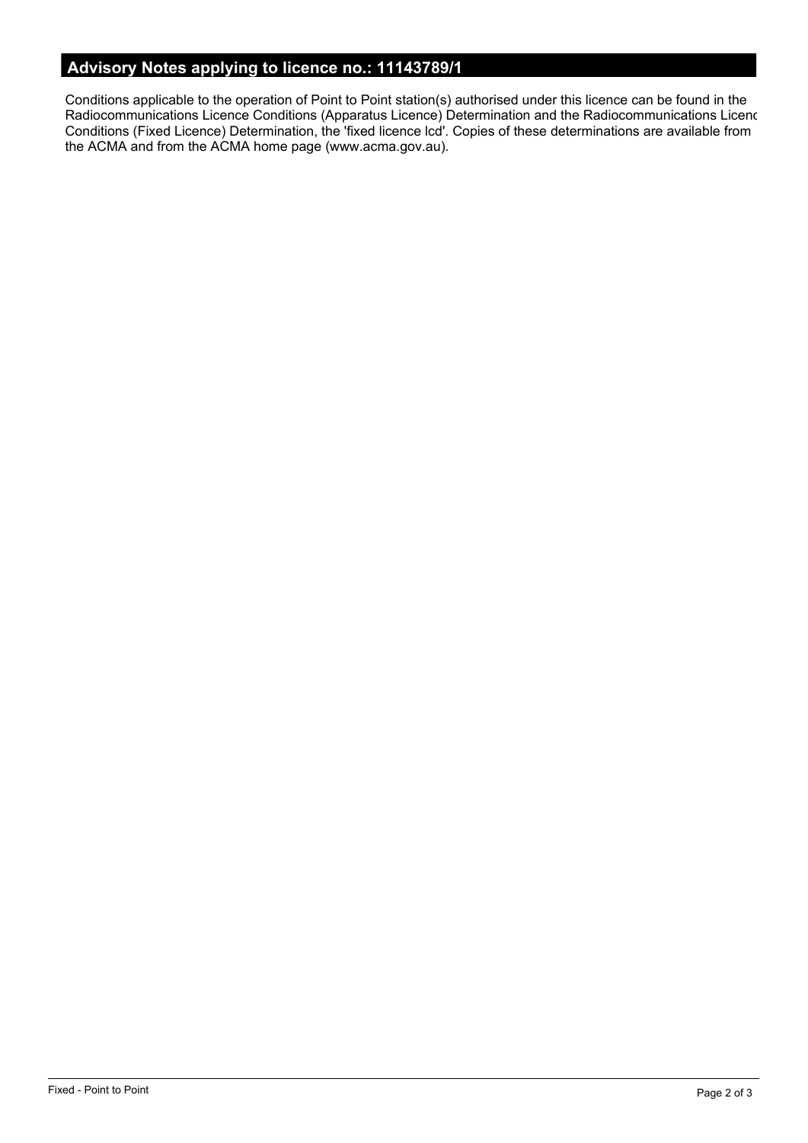# **Advisory Notes applying to licence no.: 11143789/1**

Conditions applicable to the operation of Point to Point station(s) authorised under this licence can be found in the Radiocommunications Licence Conditions (Apparatus Licence) Determination and the Radiocommunications Licence Conditions (Fixed Licence) Determination, the 'fixed licence lcd'. Copies of these determinations are available from the ACMA and from the ACMA home page (www.acma.gov.au).